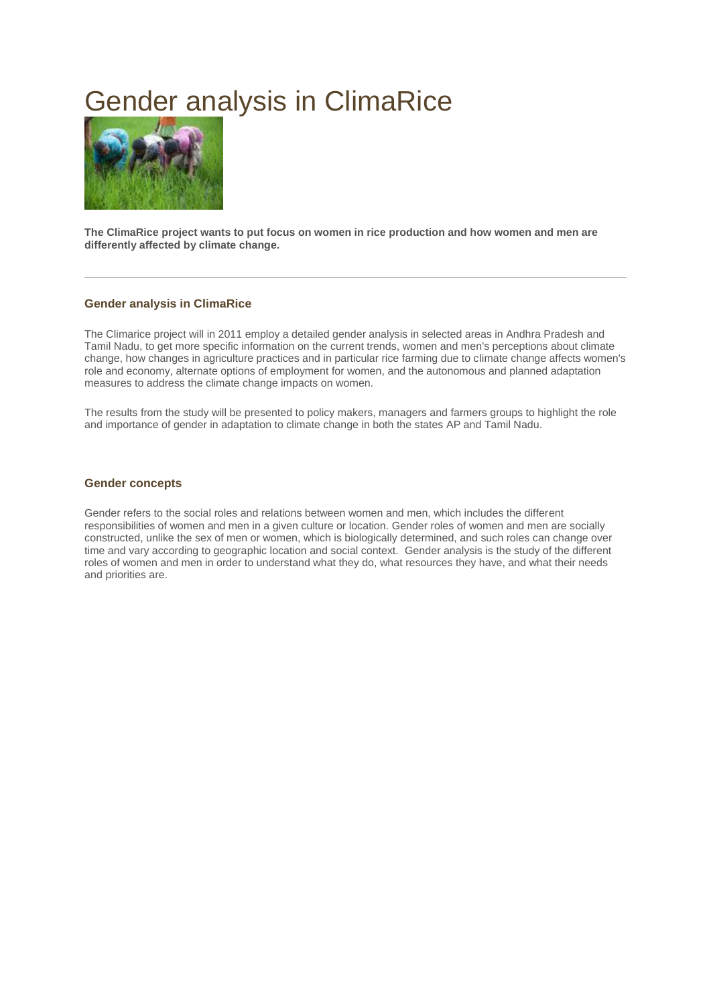# Gender analysis in ClimaRice



**The ClimaRice project wants to put focus on women in rice production and how women and men are differently affected by climate change.**

#### **Gender analysis in ClimaRice**

The Climarice project will in 2011 employ a detailed gender analysis in selected areas in Andhra Pradesh and Tamil Nadu, to get more specific information on the current trends, women and men's perceptions about climate change, how changes in agriculture practices and in particular rice farming due to climate change affects women's role and economy, alternate options of employment for women, and the autonomous and planned adaptation measures to address the climate change impacts on women.

The results from the study will be presented to policy makers, managers and farmers groups to highlight the role and importance of gender in adaptation to climate change in both the states AP and Tamil Nadu.

#### **Gender concepts**

Gender refers to the social roles and relations between women and men, which includes the different responsibilities of women and men in a given culture or location. Gender roles of women and men are socially constructed, unlike the sex of men or women, which is biologically determined, and such roles can change over time and vary according to geographic location and social context. Gender analysis is the study of the different roles of women and men in order to understand what they do, what resources they have, and what their needs and priorities are.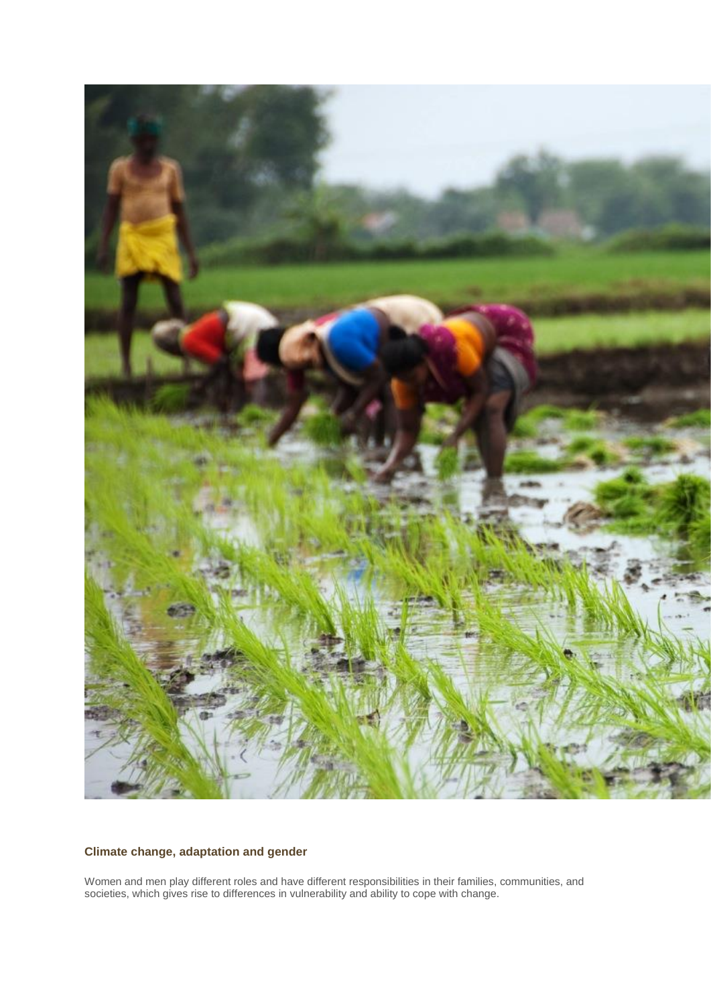

### **Climate change, adaptation and gender**

Women and men play different roles and have different responsibilities in their families, communities, and societies, which gives rise to differences in vulnerability and ability to cope with change.